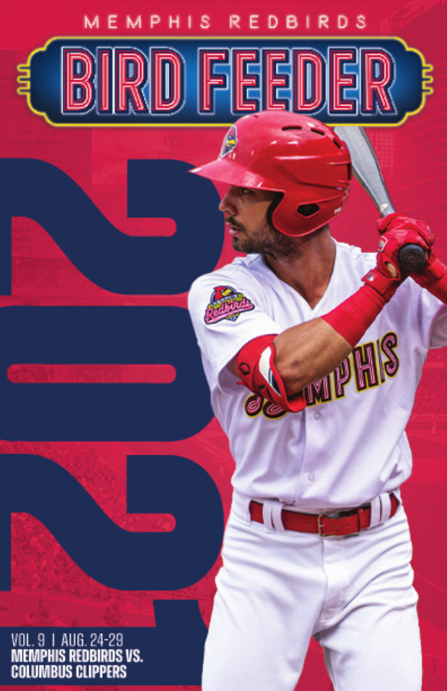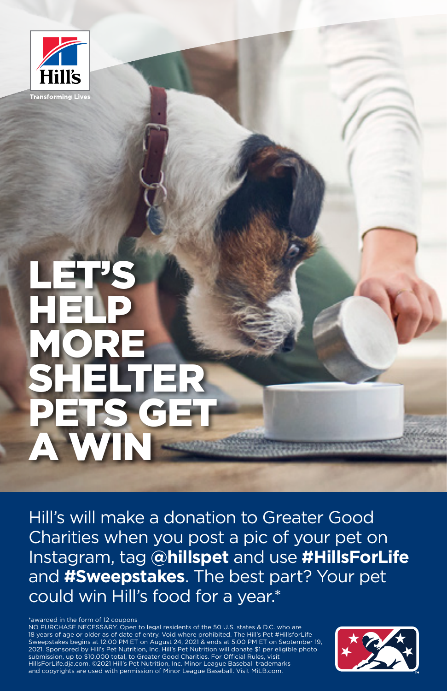

### LET'S **HELP** MORE SHELTER PETS GET A WIN

Hill's will make a donation to Greater Good Charities when you post a pic of your pet on Instagram, tag **@hillspet** and use **#HillsForLife** and **#Sweepstakes**. The best part? Your pet could win Hill's food for a year.\*

\*awarded in the form of 12 coupons

NO PURCHASE NECESSARY. Open to legal residents of the 50 U.S. states & D.C. who are 18 years of age or older as of date of entry. Void where prohibited. The Hill's Pet #HillsforLife Sweepstakes begins at 12:00 PM ET on August 24, 2021 & ends at 5:00 PM ET on September 19, 2021. Sponsored by Hill's Pet Nutrition, Inc. Hill's Pet Nutrition will donate \$1 per eligible photo submission, up to \$10,000 total, to Greater Good Charities. For Official Rules, visit HillsForLife.dja.com. ©2021 Hill's Pet Nutrition, Inc. Minor League Baseball trademarks and copyrights are used with permission of Minor League Baseball. Visit MiLB.com.

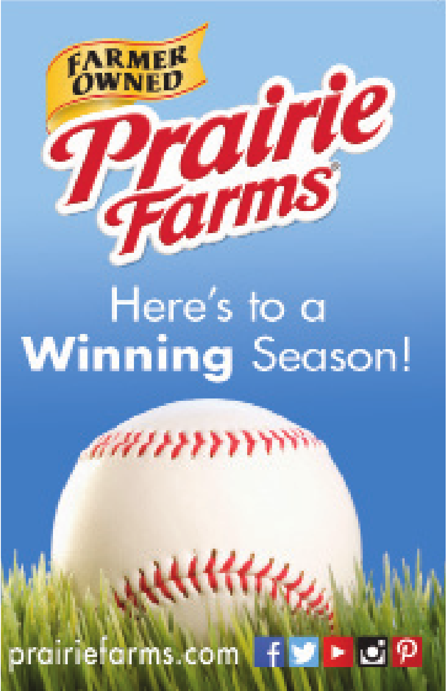# **Farms** Here's to a **Winning** Season!

#### arms.com

**FARMER** 



KKKK





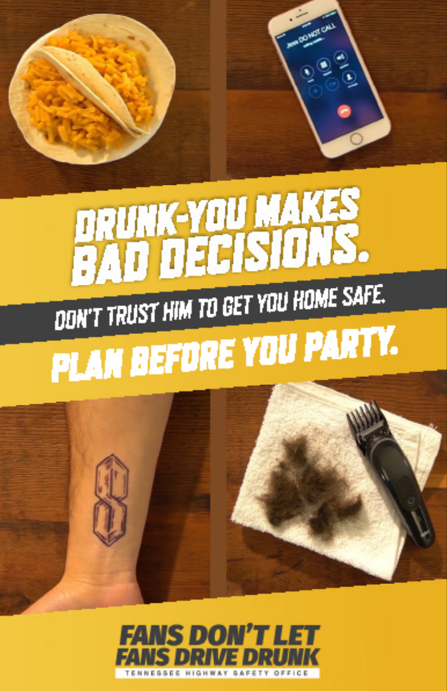



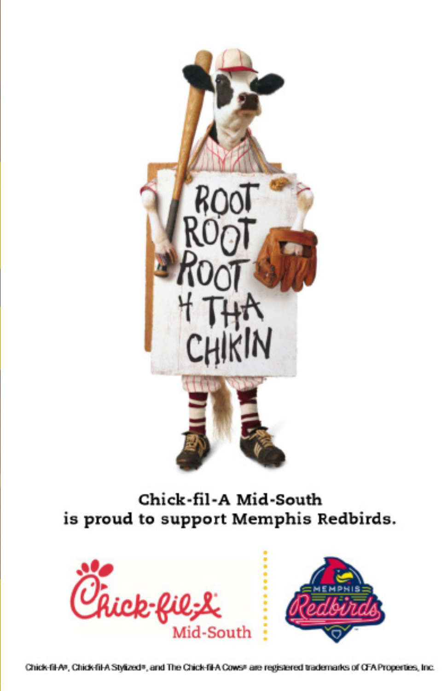

Chick-fil-A Mid-South is proud to support Memphis Redbirds.



Chick-fil-A®, Chick-fil-A Stylized®, and The Chick-fil-A Cows® are registered trademarks of CFA Properties, Inc.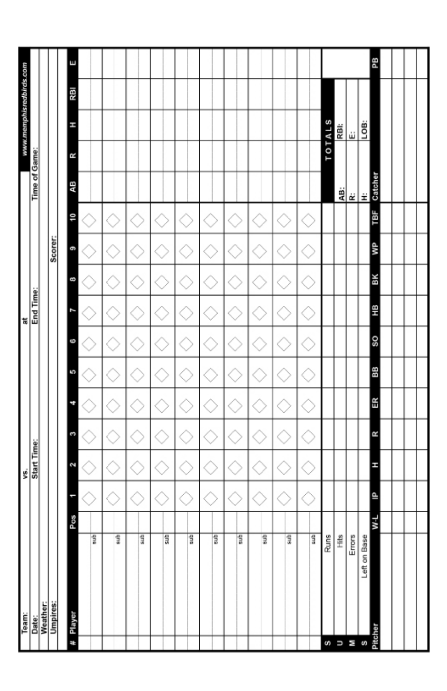| Team:<br>Date:<br>Weather: |       |   | vs.<br>Start Time: |    |    |    |    | at<br>End Time: |    |         |     |               |   | www.memphisredbirds.com |     |    |
|----------------------------|-------|---|--------------------|----|----|----|----|-----------------|----|---------|-----|---------------|---|-------------------------|-----|----|
|                            |       |   |                    |    |    |    |    |                 |    |         |     | Time of Game: |   |                         |     |    |
|                            |       |   |                    |    |    |    |    |                 |    |         |     |               |   |                         |     |    |
| <b>Umpires:</b>            |       |   |                    |    |    |    |    |                 |    | Scorer: |     |               |   |                         |     |    |
|                            |       |   |                    |    |    |    |    |                 |    |         |     |               |   |                         |     |    |
| # Player                   | Pos   |   | Ń                  | C  | Ħ  | ā  | 9  | r               | 8  | e       | őŀ  | ąВ            | Я | H                       | IBN | Ξ  |
| dns                        |       |   |                    |    |    |    |    |                 |    |         |     |               |   |                         |     |    |
|                            |       |   |                    |    |    |    |    |                 |    |         |     |               |   |                         |     |    |
| gms                        |       |   |                    |    |    |    |    |                 |    |         |     |               |   |                         |     |    |
| $\frac{1}{2}$              |       |   |                    |    |    |    |    |                 |    |         |     |               |   |                         |     |    |
| For a                      |       |   |                    |    |    |    |    |                 |    |         |     |               |   |                         |     |    |
| 5UP                        |       |   |                    |    |    |    |    |                 |    |         |     |               |   |                         |     |    |
|                            |       |   |                    |    |    |    |    |                 |    |         |     |               |   |                         |     |    |
| dna                        |       |   |                    |    |    |    |    |                 |    |         |     |               |   |                         |     |    |
| 5UP                        |       |   |                    |    |    |    |    |                 |    |         |     |               |   |                         |     |    |
| $\frac{1}{3}$              |       |   |                    |    |    |    |    |                 |    |         |     |               |   |                         |     |    |
| $\frac{1}{3}$              |       |   |                    |    | ÷  |    |    |                 |    |         |     |               |   |                         |     |    |
| ans                        |       |   | J.                 | J. | J. | a, | J. |                 |    |         | J.  |               |   |                         |     |    |
| $\frac{1}{2}$<br>U)        |       |   |                    |    |    |    |    |                 |    |         |     |               |   | <b>TOTALS</b>           |     |    |
| Ë<br>U                     |       |   |                    |    |    |    |    |                 |    |         |     | 쀠             |   | RBI                     |     |    |
| $E_{\text{mors}}$<br>ΞØ    |       |   |                    |    |    |    |    |                 |    |         |     |               |   | ψ                       |     |    |
| Left on Base               |       |   |                    |    |    |    |    |                 |    |         |     | ≃l ≝          |   | LOB:                    |     |    |
| Pitcher                    | $W-L$ | ≙ | H                  | R  | 뜺  | 88 | SO | 띞               | ΒК | ŝ       | ТBF | Catcher       |   |                         |     | PB |
|                            |       |   |                    |    |    |    |    |                 |    |         |     |               |   |                         |     |    |
|                            |       |   |                    |    |    |    |    |                 |    |         |     |               |   |                         |     |    |
|                            |       |   |                    |    |    |    |    |                 |    |         |     |               |   |                         |     |    |
|                            |       |   |                    |    |    |    |    |                 |    |         |     |               |   |                         |     |    |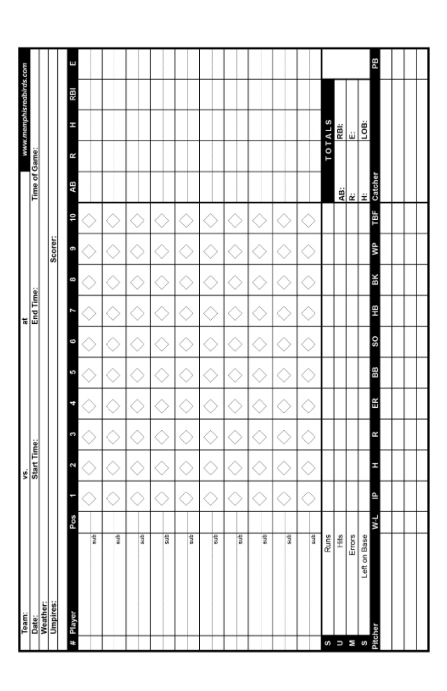| Team:<br>Date:<br>Weather: |       |   | vs.<br>Start Time: |    |    |    |                | at<br>End Time: |    |         |     |               |   | www.memphisredbirds.com |     |    |
|----------------------------|-------|---|--------------------|----|----|----|----------------|-----------------|----|---------|-----|---------------|---|-------------------------|-----|----|
|                            |       |   |                    |    |    |    |                |                 |    |         |     | Time of Game: |   |                         |     |    |
|                            |       |   |                    |    |    |    |                |                 |    |         |     |               |   |                         |     |    |
| <b>Umpires:</b>            |       |   |                    |    |    |    |                |                 |    | Scorer: |     |               |   |                         |     |    |
|                            |       |   |                    |    |    |    |                |                 |    |         |     |               |   |                         |     |    |
| # Player                   | Pos   |   | z                  | c  | च  | ā  | 9              | ſ               | 8  | e       | Oŀ  | ąВ            | R | H                       | IBN | Е  |
| dns                        |       |   |                    |    |    |    |                |                 |    |         |     |               |   |                         |     |    |
|                            |       |   |                    |    |    |    |                |                 |    |         |     |               |   |                         |     |    |
| gms                        |       |   |                    |    |    |    |                |                 |    |         |     |               |   |                         |     |    |
| $\frac{1}{2}$              |       |   |                    |    |    |    |                |                 |    |         |     |               |   |                         |     |    |
| For a                      |       |   |                    |    |    |    |                |                 |    |         |     |               |   |                         |     |    |
| 5UP                        |       |   |                    |    |    |    |                |                 |    |         |     |               |   |                         |     |    |
| dna                        |       |   |                    |    |    |    |                |                 |    |         |     |               |   |                         |     |    |
| sub]                       |       |   |                    |    |    |    |                |                 |    |         |     |               |   |                         |     |    |
| $\frac{1}{3}$              |       |   |                    |    |    |    |                |                 |    |         |     |               |   |                         |     |    |
| gms                        |       |   |                    | ÷  |    |    |                |                 |    |         | ÷.  |               |   |                         |     |    |
| dns                        |       |   | U                  | J. | ł. | d. | ż.             |                 |    |         | J.  |               |   |                         |     |    |
| $\frac{m}{2}$<br>U)        |       |   |                    |    |    |    |                |                 |    |         |     |               |   | <b>TOTALS</b>           |     |    |
| $\frac{2}{\pm}$<br>U       |       |   |                    |    |    |    |                |                 |    |         |     | 쁿             |   | RBI:                    |     |    |
| $Enors$<br>Ξø              |       |   |                    |    |    |    |                |                 |    |         |     |               |   | ψ                       |     |    |
| Left on Base               |       |   |                    |    |    |    |                |                 |    |         |     | $\frac{1}{2}$ |   | LOB:                    |     |    |
| Pitcher                    | $W-L$ | ≙ | H                  | R  | Œ  | 88 | SO <sub></sub> | ΗB              | ΒК | ŝ       | TВF | Catcher       |   |                         |     | PB |
|                            |       |   |                    |    |    |    |                |                 |    |         |     |               |   |                         |     |    |
|                            |       |   |                    |    |    |    |                |                 |    |         |     |               |   |                         |     |    |
|                            |       |   |                    |    |    |    |                |                 |    |         |     |               |   |                         |     |    |
|                            |       |   |                    |    |    |    |                |                 |    |         |     |               |   |                         |     |    |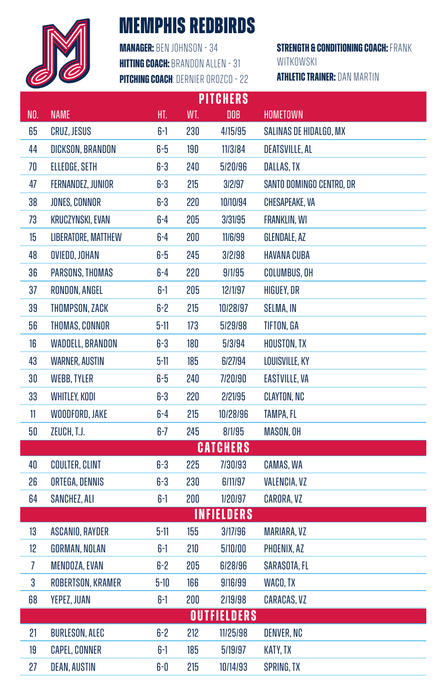

#### **MEMPHIS REDBIRDS**

**MANAGER: BEN JOHNSON - 34 HITTING COACH: BRANDON ALLEN - 31 PITCHING COACH: DERNIER OROZCO - 22** 

**NITOUEDO** 

**STRENGTH & CONDITIONING COACH: FRANK** WITKOWSKI

**ATHLETIC TRAINER: DAN MARTIN** 

|                |                       |          |     | <b>MII QUERO</b>   |                          |
|----------------|-----------------------|----------|-----|--------------------|--------------------------|
| NO.            | <b>NAME</b>           | HT.      | WT. | <b>DOB</b>         | <b>HOMETOWN</b>          |
| 65             | <b>CRUZ, JESUS</b>    | $6-1$    | 230 | 4/15/95            | SALINAS DE HIDALGO, MX   |
| 44             | DICKSON, BRANDON      | $6-5$    | 190 | 11/3/84            | <b>DEATSVILLE, AL</b>    |
| 70             | ELLEDGE, SETH         | $6-3$    | 240 | 5/20/96            | DALLAS, TX               |
| 47             | FERNANDEZ, JUNIOR     | $6-3$    | 215 | 3/2/97             | SANTO DOMINGO CENTRO, DR |
| 38             | JONES, CONNOR         | $6-3$    | 220 | 10/10/94           | CHESAPEAKE, VA           |
| 73             | KRUCZYNSKI, EVAN      | 6-4      | 205 | 3/31/95            | <b>FRANKLIN, WI</b>      |
| 15             | LIBERATORE, MATTHEW   | $6-4$    | 200 | 11/6/99            | GLENDALE, AZ             |
| 48             | OVIEDO, JOHAN         | $6-5$    | 245 | 3/2/98             | <b>HAVANA CUBA</b>       |
| 36             | PARSONS, THOMAS       | $6-4$    | 220 | 9/1/95             | COLUMBUS, OH             |
| 37             | RONDON, ANGEL         | $6-1$    | 205 | 12/1/97            | HIGUEY, DR               |
| 39             | THOMPSON, ZACK        | $6-2$    | 215 | 10/28/97           | SELMA, IN                |
| 56             | THOMAS, CONNOR        | $5 - 11$ | 173 | 5/29/98            | TIFTON, GA               |
| 16             | WADDELL, BRANDON      | $6-3$    | 180 | 5/3/94             | HOUSTON, TX              |
| 43             | <b>WARNER, AUSTIN</b> | $5 - 11$ | 185 | 6/27/94            | LOUISVILLE, KY           |
| 30             | <b>WEBB, TYLER</b>    | $6-5$    | 240 | 7/20/90            | <b>EASTVILLE, VA</b>     |
| 33             | <b>WHITLEY, KODI</b>  | $6-3$    | 220 | 2/21/95            | CLAYTON, NC              |
| 11             | WOODFORD, JAKE        | $6-4$    | 215 | 10/28/96           | TAMPA, FL                |
| 50             | ZEUCH, T.J.           | $6-7$    | 245 | 8/1/95             | MASON, OH                |
|                |                       |          |     | <b>CATCHERS</b>    |                          |
| 40             | <b>COULTER, CLINT</b> | $6-3$    | 225 | 7/30/93            | CAMAS, WA                |
| 26             | ORTEGA, DENNIS        | $6-3$    | 230 | 6/11/97            | VALENCIA, VZ             |
| 64             | SANCHEZ, ALI          | $6-1$    | 200 | 1/20/97            | CARORA, VZ               |
|                |                       |          |     | <b>INFIELDERS</b>  |                          |
| 13             | ASCANIO, RAYDER       | $5 - 11$ | 155 | 3/17/96            | <b>MARIARA, VZ</b>       |
| 12             | <b>GORMAN, NOLAN</b>  | $6-1$    | 210 | 5/10/00            | PHOENIX, AZ              |
| $\overline{1}$ | MENDOZA, EVAN         | $6-2$    | 205 | 6/28/96            | SARASOTA, FL             |
| 3              | ROBERTSON, KRAMER     | $5-10$   | 166 | 9/16/99            | WACO, TX                 |
| 68             | YEPEZ, JUAN           | 6-1      | 200 | 2/19/98            | <b>CARACAS, VZ</b>       |
|                |                       |          |     | <b>OUTFIELDERS</b> |                          |
| 21             | <b>BURLESON, ALEC</b> | $6-2$    | 212 | 11/25/98           | DENVER, NC               |
| 19             | <b>CAPEL, CONNER</b>  | $6-1$    | 185 | 5/19/97            | KATY, TX                 |
| 27             | DEAN, AUSTIN          | $6-0$    | 215 | 10/14/93           | SPRING, TX               |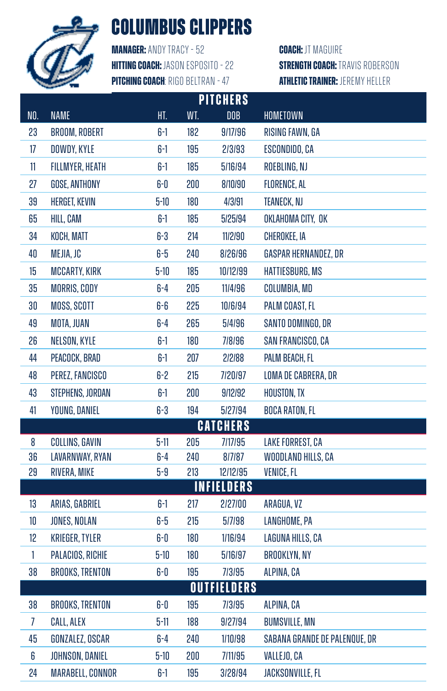

#### **COLUMBUS CLIPPERS**

**Manager:** Andy Tracy - 52 **Hitting Coach:** Jason Esposito - 22 **Pitching Coach**: Rigo Beltran - 47

**Coach:** JT Maguire **STRENGTH COACH: TRAVIS ROBERSON Athletic Trainer:** Jeremy Heller

|                |                         |          |     | <b>PITCHERS</b>    |                               |
|----------------|-------------------------|----------|-----|--------------------|-------------------------------|
| NO.            | <b>NAME</b>             | HT.      | WT. | <b>DOB</b>         | HOMETOWN                      |
| 23             | <b>BROOM, ROBERT</b>    | $6-1$    | 182 | 9/17/96            | RISING FAWN, GA               |
| 17             | DOWDY, KYLE             | $6-1$    | 195 | 2/3/93             | ESCONDIDO, CA                 |
| 11             | <b>FILLMYER, HEATH</b>  | $6-1$    | 185 | 5/16/94            | ROEBLING, NJ                  |
| 27             | GOSE, ANTHONY           | $6-0$    | 200 | 8/10/90            | FLORENCE, AL                  |
| 39             | <b>HERGET, KEVIN</b>    | $5-10$   | 180 | 4/3/91             | TEANECK, NJ                   |
| 65             | HILL, CAM               | $6-1$    | 185 | 5/25/94            | OKLAHOMA CITY, OK             |
| 34             | KOCH, MATT              | $6-3$    | 214 | 11/2/90            | CHEROKEE, IA                  |
| 40             | MEJIA, JC               | $6-5$    | 240 | 8/26/96            | GASPAR HERNANDEZ, DR          |
| 15             | <b>MCCARTY, KIRK</b>    | $5 - 10$ | 185 | 10/12/99           | HATTIESBURG, MS               |
| 35             | <b>MORRIS, CODY</b>     | $6-4$    | 205 | 11/4/96            | COLUMBIA, MD                  |
| $30\,$         | MOSS, SCOTT             | 6-6      | 225 | 10/6/94            | PALM COAST, FL                |
| 49             | MOTA, JUAN              | $6-4$    | 265 | 5/4/96             | SANTO DOMINGO, DR             |
| 26             | NELSON, KYLE            | $6-1$    | 180 | 7/8/96             | SAN FRANCISCO, CA             |
| 44             | PEACOCK, BRAD           | $6-1$    | 207 | 2/2/88             | PALM BEACH, FL                |
| 48             | PEREZ, FANCISCO         | 6-2      | 215 | 7/20/97            | LOMA DE CABRERA, DR           |
| 43             | STEPHENS, JORDAN        | $6-1$    | 200 | 9/12/92            | HOUSTON, TX                   |
| 41             | YOUNG, DANIEL           | $6-3$    | 194 | 5/27/94            | <b>BOCA RATON, FL</b>         |
|                |                         |          |     | <b>CATCHERS</b>    |                               |
| 8              | COLLINS, GAVIN          | $5 - 11$ | 205 | 7/17/95            | LAKE FORREST, CA              |
| 36             | LAVARNWAY, RYAN         | $6-4$    | 240 | 8/7/87             | WOODLAND HILLS, CA            |
| 29             | RIVERA, MIKE            | $5-9$    | 213 | 12/12/95           | <b>VENICE, FL</b>             |
|                |                         |          |     | <b>INFIELDERS</b>  |                               |
| 13             | ARIAS, GABRIEL          | $6-1$    | 217 | 2/27/00            | ARAGUA, VZ                    |
| 10             | JONES, NOLAN            | $6-5$    | 215 | 5/7/98             | LANGHOME, PA                  |
| 12             | <b>KRIEGER, TYLER</b>   | $6-0$    | 180 | 1/16/94            | LAGUNA HILLS, CA              |
| $\mathbf{1}$   | PALACIOS, RICHIE        | $5-10$   | 180 | 5/16/97            | <b>BROOKLYN, NY</b>           |
| 38             | <b>BROOKS, TRENTON</b>  | $6-0$    | 195 | 7/3/95             | ALPINA, CA                    |
|                |                         |          |     | <b>OUTFIELDERS</b> |                               |
| 38             | <b>BROOKS, TRENTON</b>  | 6-0      | 195 | 7/3/95             | ALPINA, CA                    |
| $\overline{1}$ | <b>CALL, ALEX</b>       | $5 - 11$ | 188 | 9/27/94            | <b>BUMSVILLE, MN</b>          |
| 45             | GONZALEZ, OSCAR         | $6-4$    | 240 | 1/10/98            | SABANA GRANDE DE PALENQUE, DR |
| 6              | JOHNSON, DANIEL         | $5 - 10$ | 200 | 7/11/95            | VALLEJO, CA                   |
| 24             | <b>MARABELL, CONNOR</b> | 6-1      | 195 | 3/28/94            | JACKSONVILLE, FL              |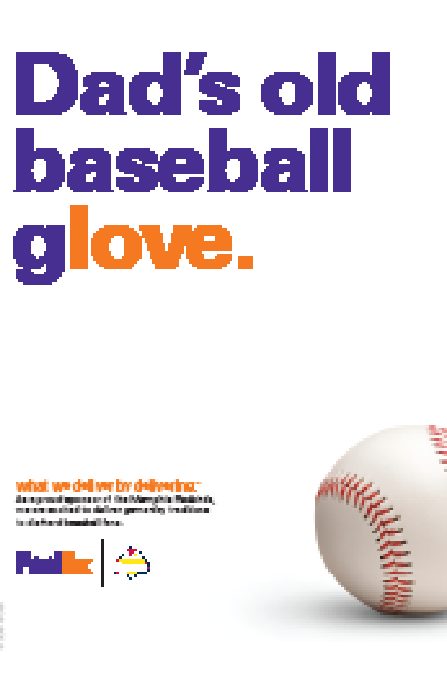# Dad's old <u>baseball</u> glove.

#### hat we deliver by deliver

da nyematayaan ee di Goddawykin Madehin.<br>maana astad in daleer gemaaley in diissa to distinguish and a series of the sec-